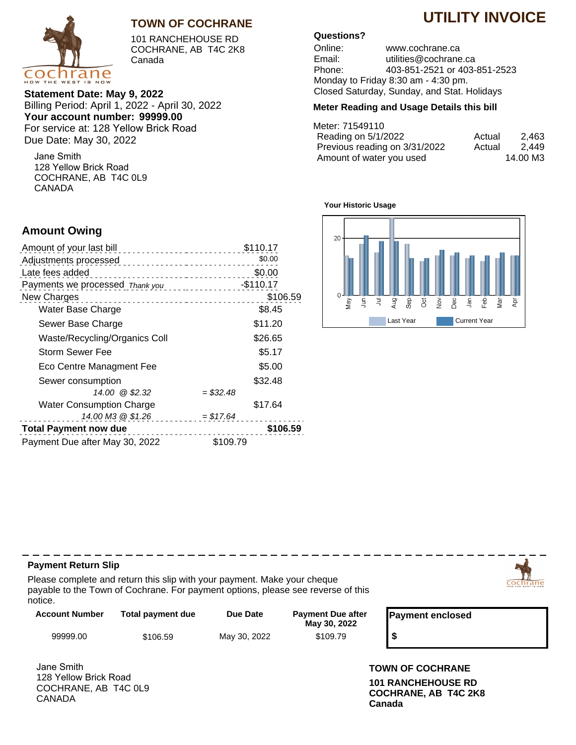

## **TOWN OF COCHRANE**

101 RANCHEHOUSE RD COCHRANE, AB T4C 2K8 Canada

**Statement Date: May 9, 2022** Billing Period: April 1, 2022 - April 30, 2022 **Your account number: 99999.00** For service at: 128 Yellow Brick Road Due Date: May 30, 2022

Jane Smith 128 Yellow Brick Road COCHRANE, AB T4C 0L9 CANADA

## **Amount Owing**

| Amount of your last bill        | \$110.17       |
|---------------------------------|----------------|
| Adjustments processed           | \$0.00         |
| Late fees added                 | \$0.00<br>.    |
| Payments we processed Thank you | $-$110.17$<br> |
| New Charges                     | \$106.59       |
| Water Base Charge               | \$8.45         |
| Sewer Base Charge               | \$11.20        |
| Waste/Recycling/Organics Coll   | \$26.65        |
| Storm Sewer Fee                 | \$5.17         |
| Eco Centre Managment Fee        | \$5.00         |
| Sewer consumption               | \$32.48        |
| 14.00 @ \$2.32                  | $= $32.48$     |
| <b>Water Consumption Charge</b> | \$17.64        |
| 14.00 M3 @ \$1.26               | $= $17.64$     |
| <b>Total Payment now due</b>    | \$106.59       |
| Payment Due after May 30, 2022  | \$109.79       |

### **Questions?**

Online: www.cochrane.ca Email: utilities@cochrane.ca Phone: 403-851-2521 or 403-851-2523 Monday to Friday 8:30 am - 4:30 pm. Closed Saturday, Sunday, and Stat. Holidays

#### **Meter Reading and Usage Details this bill**

| Meter: 71549110               |        |          |
|-------------------------------|--------|----------|
| Reading on 5/1/2022           | Actual | 2.463    |
| Previous reading on 3/31/2022 | Actual | 2.449    |
| Amount of water you used      |        | 14.00 M3 |
|                               |        |          |

#### **Your Historic Usage**





#### **Payment Return Slip**

Please complete and return this slip with your payment. Make your cheque payable to the Town of Cochrane. For payment options, please see reverse of this notice.

-------

| Account Number | Total payment due | Due Date     | <b>Payment Due after</b><br>May 30, 2022 |
|----------------|-------------------|--------------|------------------------------------------|
| 99999.00       | \$106.59          | May 30, 2022 | \$109.79                                 |

Jane Smith **TOWN OF COCHRANE** 128 Yellow Brick Road COCHRANE, AB T4C 0L9 CANADA

**101 RANCHEHOUSE RD COCHRANE, AB T4C 2K8 Canada**

**Payment enclosed**

 **\$**

- - - - - - -



# **UTILITY INVOICE**